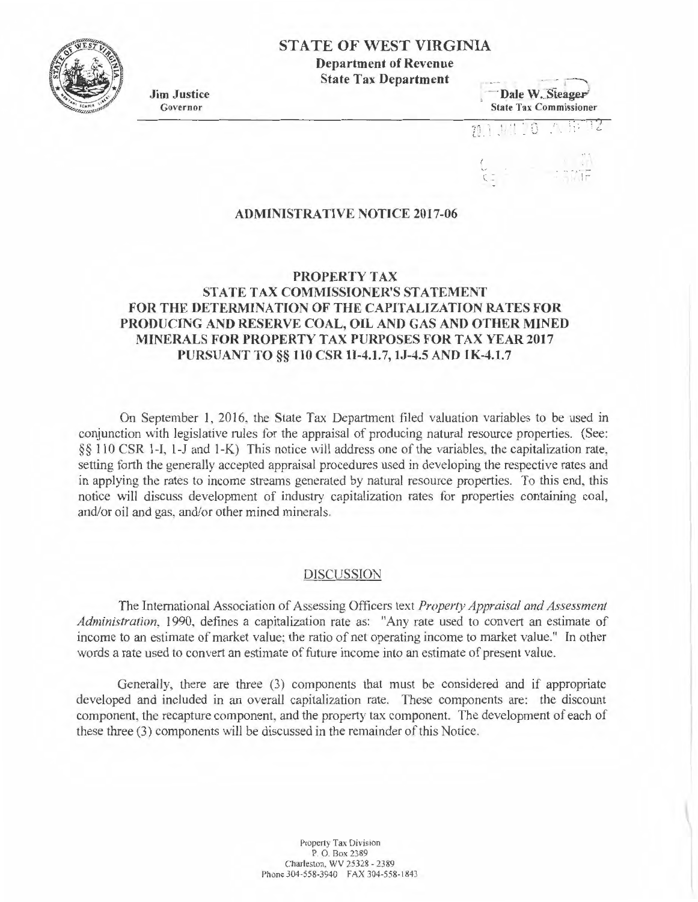# **STATE OF WEST VIRGINIA**

**Department of Revenue State Tax Department** 

**Jim Justice**  Governor



 $70$ 

#### **ADMINISTRATIVE NOTICE 2017-06**

## **PROPERTY TAX**

# **STATE TAX COMMISSIONER'S STATEMENT** FOR THE DETERMINATION OF THE CAPITALIZATION RATES FOR **PRODUCING AND RESERVE COAL, OIL AND GAS AND OTHER MINED MINERALS FOR PROPERTY TAX PURPOSES FOR TAX YEAR 2017 PURSUANT TO§§ 110 CSR 11-4.l.7, lJ-4.5 AND 1 K-4.l.7**

On September 1, 2016, the State Tax Department filed valuation variables to be used in conjunction with legislative rules for the appraisal of producing natural resource properties. (See: *§§* 110 CSR 1-1, 1-J and 1-K) This notice will address one of the variables, the capitalization rate, setting forth the generally accepted appraisal procedures used in developing the respective rates and in applying the rates to income streams generated by natural resource properties. To this end, this notice will discuss development of industry capitalization rates for properties containing coal, and/or oil and gas, and/or other mined minerals.

#### DISCUSSION

The International Association of Assessing Officers text *Property Appraisal and Assessment Administration,* 1990, defines a capitalization rate as: "Any rate used to convert an estimate of income to an estimate of market value; the ratio of net operating income to market value." In other words a rate used to convert an estimate of future income into an estimate of present value.

Generally, there are three (3) components that must be considered and if appropriate developed and included in an overall capitalization rate. These components are: the discount component, the recapture component, and the property tax component. The development of each of these three (3) components will be discussed in the remainder of this Notice.

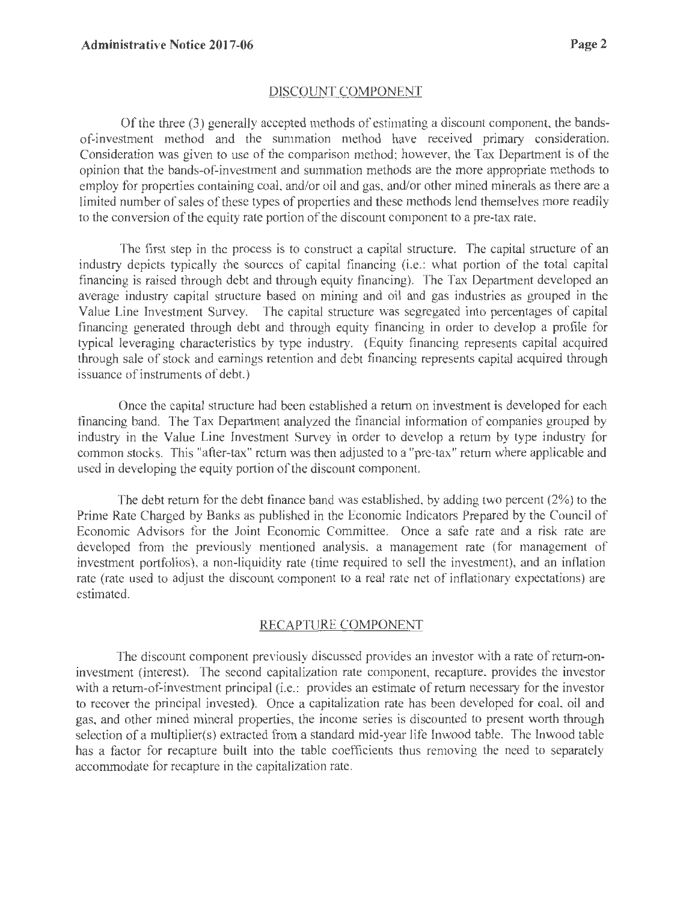### DISCOUNT COMPONENT

Of the three (3) generally accepted methods of estimating a discount component, the bandsof-investment method and the summation method have received primary consideration. Consideration was given to use of the comparison method; however, the Tax Department is of the opinion that the bands-of-investment and summation methods are the more appropriate methods to employ for properties containing coal, and/or oil and gas, and/or other mined minerals as there are a limited number of sales of these types of properties and these methods lend themselves more readily to the conversion of the equity rate portion of the discount component to a pre-tax rate.

The first step in the process is to construct a capital structure. The capital structure of an industry depicts typically the sources of capital financing (i.e.: what portion of the *total* capital financing is raised through debt and through equity financing). The Tax Department developed an average industry capital structure based on mining and oil and gas industries as grouped in the Value Line Investment Survey. The capital structure was segregated into percentages of capital financing generated through debt and through equity financing in order to develop a profile for typical leveraging characteristics by type industry. (Equity financing represents capital acquired through sale of stock and earnings retention and debt financing represents capital acquired through issuance of instruments of debt.)

Once the capital structure had been established a return on investment is developed for each financing band. The Tax Department analyzed the financial information of companies grouped by industry in the Value Line Investment Survey in order to develop a return by type industry for common stocks. This "after-tax" return was then adjusted to a "pre-tax" return where applicable and used in developing the equity portion of the discount component.

The debt return for the debt finance band was established, by adding two percent (2%) to the Prime Rate Charged by Banks as published in the Economic Indicators Prepared by the Council of Economic Advisors for the Joint Economic Committee. Once a safe rate and a risk rate are developed from the previously mentioned analysis, a management rate (for management of investment portfolios), a non-liquidity rate (time required to sell the investment), and an inflation rate (rate used to adjust the discount component to a real rate net of inflationary expectations) are estimated.

# RECAPTURE COMPONENT

The discount component previously discussed provides an investor with a rate of return-oninvestment (interest). The second capitalization rate component, recapture, provides the investor with a return-of-investment principal (i.e.: provides an estimate of return necessary for the investor to recover the principal invested). Once a capitalization rate has been developed for coal, oil and gas, and other mined mineral properties, the income series is discounted to present worth through selection of a multiplier(s) extracted from a standard mid-year life Inwood table. The 1nwood table has a factor for recapture built into the table coefficients thus removing the need to separately accommodate for recapture in the capitalization rate.